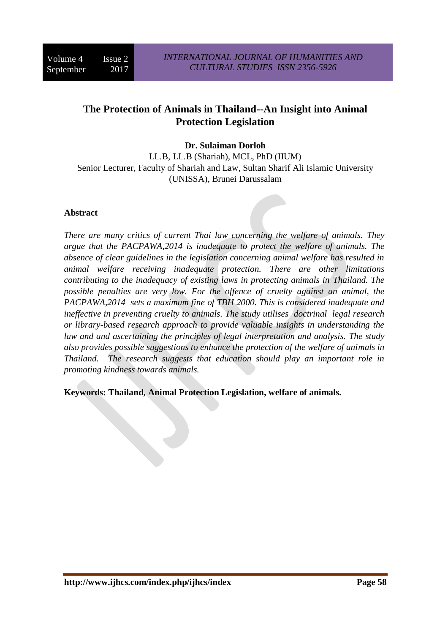## **The Protection of Animals in Thailand--An Insight into Animal Protection Legislation**

## **Dr. Sulaiman Dorloh**

LL.B, LL.B (Shariah), MCL, PhD (IIUM) Senior Lecturer, Faculty of Shariah and Law, Sultan Sharif Ali Islamic University (UNISSA), Brunei Darussalam

#### **Abstract**

*There are many critics of current Thai law concerning the welfare of animals. They argue that the PACPAWA,2014 is inadequate to protect the welfare of animals. The absence of clear guidelines in the legislation concerning animal welfare has resulted in animal welfare receiving inadequate protection. There are other limitations contributing to the inadequacy of existing laws in protecting animals in Thailand. The possible penalties are very low. For the offence of cruelty against an animal, the PACPAWA,2014 sets a maximum fine of TBH 2000. This is considered inadequate and ineffective in preventing cruelty to animals. The study utilises doctrinal legal research or library-based research approach to provide valuable insights in understanding the law and and ascertaining the principles of legal interpretation and analysis. The study also provides possible suggestions to enhance the protection of the welfare of animals in Thailand. The research suggests that education should play an important role in promoting kindness towards animals.*

**Keywords: Thailand, Animal Protection Legislation, welfare of animals.**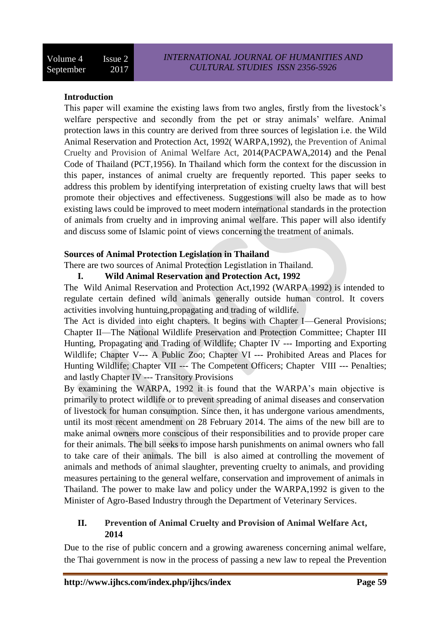## **Introduction**

This paper will examine the existing laws from two angles, firstly from the livestock's welfare perspective and secondly from the pet or stray animals' welfare. Animal protection laws in this country are derived from three sources of legislation i.e. the Wild Animal Reservation and Protection Act, 1992( WARPA,1992), the Prevention of Animal Cruelty and Provision of Animal Welfare Act, 2014(PACPAWA,2014) and the Penal Code of Thailand (PCT,1956). In Thailand which form the context for the discussion in this paper, instances of animal cruelty are frequently reported. This paper seeks to address this problem by identifying interpretation of existing cruelty laws that will best promote their objectives and effectiveness. Suggestions will also be made as to how existing laws could be improved to meet modern international standards in the protection of animals from cruelty and in improving animal welfare. This paper will also identify and discuss some of Islamic point of views concerning the treatment of animals.

#### **Sources of Animal Protection Legislation in Thailand**

There are two sources of Animal Protection Legistlation in Thailand.

## **I. Wild Animal Reservation and Protection Act, 1992**

The Wild Animal Reservation and Protection Act,1992 (WARPA 1992) is intended to regulate certain defined wild animals generally outside human control. It covers activities involving huntuing,propagating and trading of wildlife.

The Act is divided into eight chapters. It begins with Chapter I—General Provisions; Chapter II—The National Wildlife Preservation and Protection Committee; Chapter III Hunting, Propagating and Trading of Wildlife; Chapter IV --- Importing and Exporting Wildlife; Chapter V--- A Public Zoo; Chapter VI --- Prohibited Areas and Places for Hunting Wildlife; Chapter VII --- The Competent Officers; Chapter VIII --- Penalties; and lastly Chapter IV --- Transitory Provisions

By examining the WARPA, 1992 it is found that the WARPA's main objective is primarily to protect wildlife or to prevent spreading of animal diseases and conservation of livestock for human consumption. Since then, it has undergone various amendments, until its most recent amendment on 28 February 2014. The aims of the new bill are to make animal owners more conscious of their responsibilities and to provide proper care for their animals. The bill seeks to impose harsh punishments on animal owners who fall to take care of their animals. The bill is also aimed at controlling the movement of animals and methods of animal slaughter, preventing cruelty to animals, and providing measures pertaining to the general welfare, conservation and improvement of animals in Thailand. The power to make law and policy under the WARPA,1992 is given to the Minister of Agro-Based Industry through the Department of Veterinary Services.

## **II. Prevention of Animal Cruelty and Provision of Animal Welfare Act, 2014**

Due to the rise of public concern and a growing awareness concerning animal welfare, the Thai government is now in the process of passing a new law to repeal the Prevention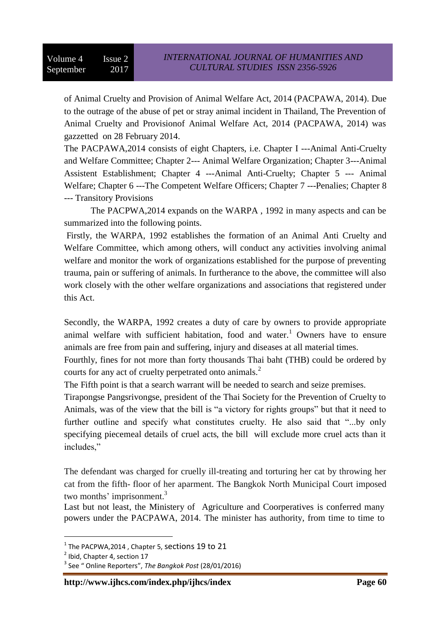of Animal Cruelty and Provision of Animal Welfare Act, 2014 (PACPAWA, 2014). Due to the outrage of the abuse of pet or stray animal incident in Thailand, The Prevention of Animal Cruelty and Provisionof Animal Welfare Act, 2014 (PACPAWA, 2014) was gazzetted on 28 February 2014.

The PACPAWA,2014 consists of eight Chapters, i.e. Chapter I ---Animal Anti-Cruelty and Welfare Committee; Chapter 2--- Animal Welfare Organization; Chapter 3---Animal Assistent Establishment; Chapter 4 ---Animal Anti-Cruelty; Chapter 5 --- Animal Welfare; Chapter 6 ---The Competent Welfare Officers; Chapter 7 ---Penalies; Chapter 8 --- Transitory Provisions

The PACPWA,2014 expands on the WARPA , 1992 in many aspects and can be summarized into the following points.

Firstly, the WARPA, 1992 establishes the formation of an Animal Anti Cruelty and Welfare Committee, which among others, will conduct any activities involving animal welfare and monitor the work of organizations established for the purpose of preventing trauma, pain or suffering of animals. In furtherance to the above, the committee will also work closely with the other welfare organizations and associations that registered under this Act.

Secondly, the WARPA, 1992 creates a duty of care by owners to provide appropriate animal welfare with sufficient habitation, food and water.<sup>1</sup> Owners have to ensure animals are free from pain and suffering, injury and diseases at all material times.

Fourthly, fines for not more than forty thousands Thai baht (THB) could be ordered by courts for any act of cruelty perpetrated onto animals.<sup>2</sup>

The Fifth point is that a search warrant will be needed to search and seize premises.

Tirapongse Pangsrivongse, president of the Thai Society for the Prevention of Cruelty to Animals, was of the view that the bill is "a victory for rights groups" but that it need to further outline and specify what constitutes cruelty. He also said that "...by only specifying piecemeal details of cruel acts, the bill will exclude more cruel acts than it includes,"

The defendant was charged for cruelly ill-treating and torturing her cat by throwing her cat from the fifth- floor of her aparment. The Bangkok North Municipal Court imposed two months' imprisonment.<sup>3</sup>

Last but not least, the Ministery of Agriculture and Coorperatives is conferred many powers under the PACPAWA, 2014. The minister has authority, from time to time to

 $\overline{a}$ 

 $^{\rm 1}$  The PACPWA,2014 , Chapter 5, <code>sections</code> 19 to 21

<sup>&</sup>lt;sup>2</sup> Ibid, Chapter 4, section 17

<sup>3</sup> See " Online Reporters", *The Bangkok Post* (28/01/2016)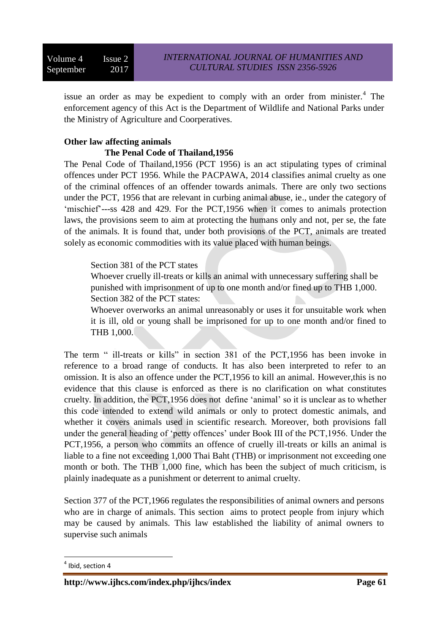issue an order as may be expedient to comply with an order from minister.<sup>4</sup> The enforcement agency of this Act is the Department of Wildlife and National Parks under the Ministry of Agriculture and Coorperatives.

## **Other law affecting animals The Penal Code of Thailand,1956**

The Penal Code of Thailand,1956 (PCT 1956) is an act stipulating types of criminal offences under PCT 1956. While the PACPAWA, 2014 classifies animal cruelty as one of the criminal offences of an offender towards animals. There are only two sections under the PCT, 1956 that are relevant in curbing animal abuse, ie., under the category of 'mischief'---ss 428 and 429. For the PCT,1956 when it comes to animals protection laws, the provisions seem to aim at protecting the humans only and not, per se, the fate of the animals. It is found that, under both provisions of the PCT, animals are treated solely as economic commodities with its value placed with human beings.

## Section 381 of the PCT states

Whoever cruelly ill-treats or kills an animal with unnecessary suffering shall be punished with imprisonment of up to one month and/or fined up to THB 1,000. Section 382 of the PCT states:

Whoever overworks an animal unreasonably or uses it for unsuitable work when it is ill, old or young shall be imprisoned for up to one month and/or fined to THB 1,000.

The term " ill-treats or kills" in section 381 of the PCT,1956 has been invoke in reference to a broad range of conducts. It has also been interpreted to refer to an omission. It is also an offence under the PCT,1956 to kill an animal. However,this is no evidence that this clause is enforced as there is no clarification on what constitutes cruelty. In addition, the PCT,1956 does not define 'animal' so it is unclear as to whether this code intended to extend wild animals or only to protect domestic animals, and whether it covers animals used in scientific research. Moreover, both provisions fall under the general heading of 'petty offences' under Book III of the PCT,1956. Under the PCT,1956, a person who commits an offence of cruelly ill-treats or kills an animal is liable to a fine not exceeding 1,000 Thai Baht (THB) or imprisonment not exceeding one month or both. The THB 1,000 fine, which has been the subject of much criticism, is plainly inadequate as a punishment or deterrent to animal cruelty.

Section 377 of the PCT,1966 regulates the responsibilities of animal owners and persons who are in charge of animals. This section aims to protect people from injury which may be caused by animals. This law established the liability of animal owners to supervise such animals

 $\overline{a}$  $<sup>4</sup>$  Ibid, section 4</sup>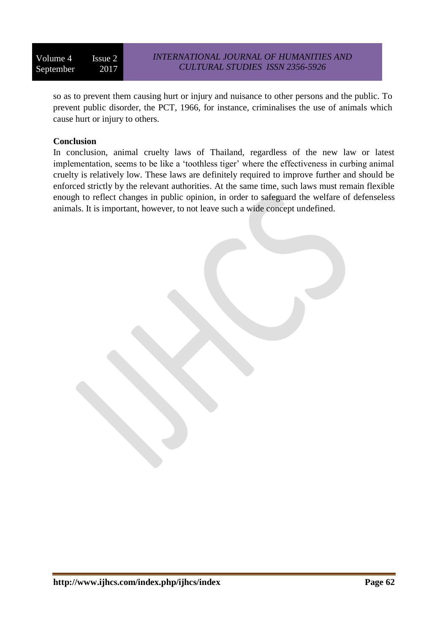so as to prevent them causing hurt or injury and nuisance to other persons and the public. To prevent public disorder, the PCT, 1966, for instance, criminalises the use of animals which cause hurt or injury to others.

## **Conclusion**

In conclusion, animal cruelty laws of Thailand, regardless of the new law or latest implementation, seems to be like a 'toothless tiger' where the effectiveness in curbing animal cruelty is relatively low. These laws are definitely required to improve further and should be enforced strictly by the relevant authorities. At the same time, such laws must remain flexible enough to reflect changes in public opinion, in order to safeguard the welfare of defenseless animals. It is important, however, to not leave such a wide concept undefined.